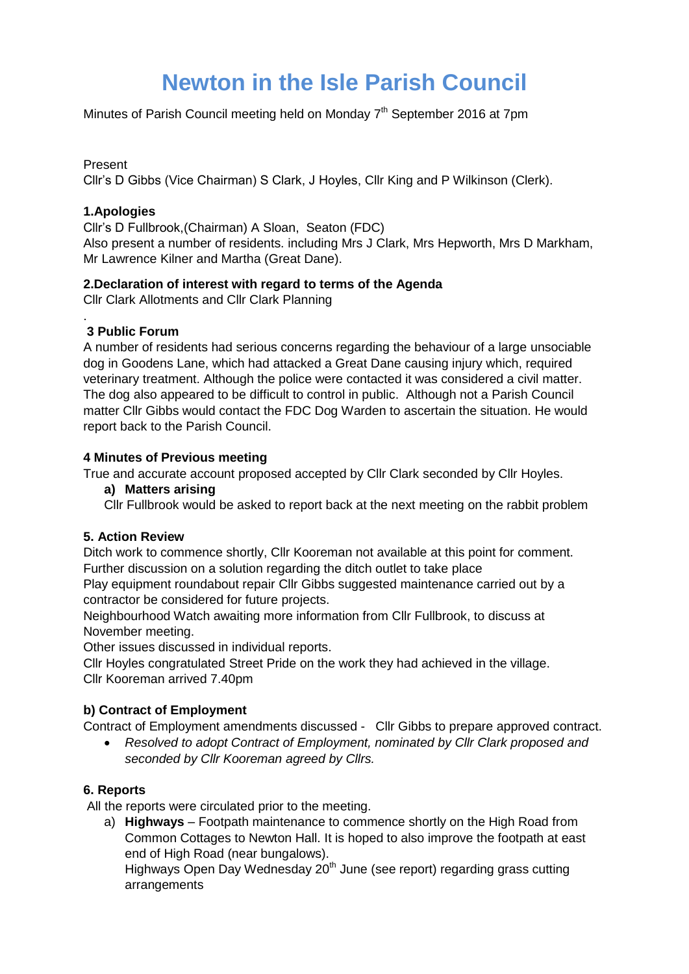# **Newton in the Isle Parish Council**

Minutes of Parish Council meeting held on Monday  $7<sup>th</sup>$  September 2016 at 7pm

## Present

Cllr's D Gibbs (Vice Chairman) S Clark, J Hoyles, Cllr King and P Wilkinson (Clerk).

## **1.Apologies**

Cllr's D Fullbrook,(Chairman) A Sloan, Seaton (FDC)

Also present a number of residents. including Mrs J Clark, Mrs Hepworth, Mrs D Markham, Mr Lawrence Kilner and Martha (Great Dane).

#### **2.Declaration of interest with regard to terms of the Agenda**

Cllr Clark Allotments and Cllr Clark Planning

# **3 Public Forum**

.

A number of residents had serious concerns regarding the behaviour of a large unsociable dog in Goodens Lane, which had attacked a Great Dane causing injury which, required veterinary treatment. Although the police were contacted it was considered a civil matter. The dog also appeared to be difficult to control in public. Although not a Parish Council matter Cllr Gibbs would contact the FDC Dog Warden to ascertain the situation. He would report back to the Parish Council.

#### **4 Minutes of Previous meeting**

True and accurate account proposed accepted by Cllr Clark seconded by Cllr Hoyles.

#### **a) Matters arising**

Cllr Fullbrook would be asked to report back at the next meeting on the rabbit problem

# **5. Action Review**

Ditch work to commence shortly, Cllr Kooreman not available at this point for comment. Further discussion on a solution regarding the ditch outlet to take place

Play equipment roundabout repair Cllr Gibbs suggested maintenance carried out by a contractor be considered for future projects.

Neighbourhood Watch awaiting more information from Cllr Fullbrook, to discuss at November meeting.

Other issues discussed in individual reports.

Cllr Hoyles congratulated Street Pride on the work they had achieved in the village. Cllr Kooreman arrived 7.40pm

# **b) Contract of Employment**

Contract of Employment amendments discussed - Cllr Gibbs to prepare approved contract.

 *Resolved to adopt Contract of Employment, nominated by Cllr Clark proposed and seconded by Cllr Kooreman agreed by Cllrs.*

# **6. Reports**

All the reports were circulated prior to the meeting.

a) **Highways** – Footpath maintenance to commence shortly on the High Road from Common Cottages to Newton Hall. It is hoped to also improve the footpath at east end of High Road (near bungalows).

Highways Open Day Wednesday 20<sup>th</sup> June (see report) regarding grass cutting arrangements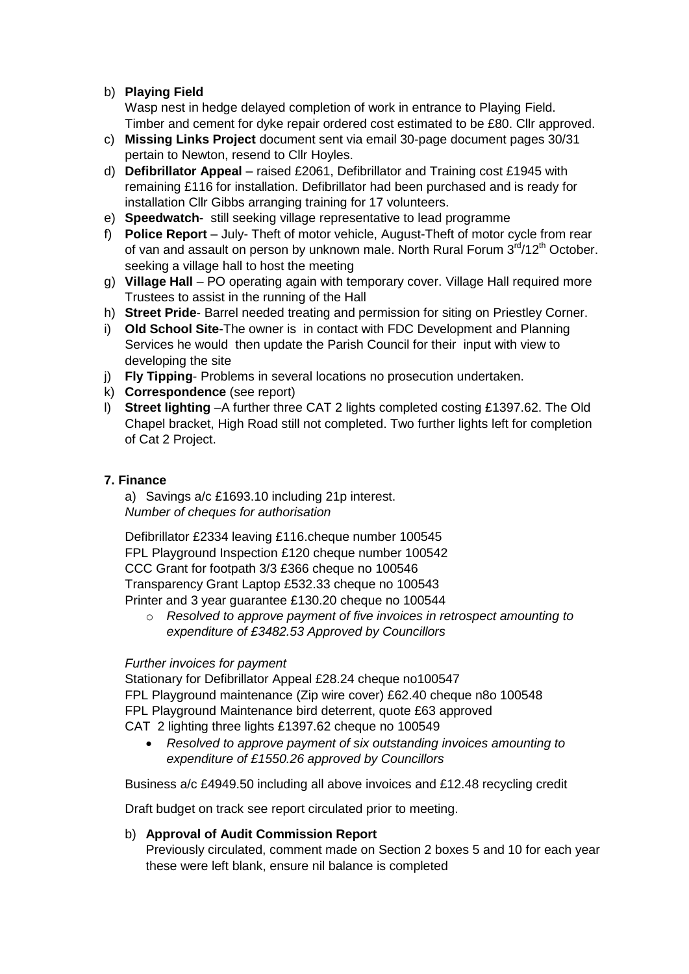# b) **Playing Field**

Wasp nest in hedge delayed completion of work in entrance to Playing Field. Timber and cement for dyke repair ordered cost estimated to be £80. Cllr approved.

- c) **Missing Links Project** document sent via email 30-page document pages 30/31 pertain to Newton, resend to Cllr Hoyles.
- d) **Defibrillator Appeal** raised £2061, Defibrillator and Training cost £1945 with remaining £116 for installation. Defibrillator had been purchased and is ready for installation Cllr Gibbs arranging training for 17 volunteers.
- e) **Speedwatch** still seeking village representative to lead programme
- f) **Police Report** July- Theft of motor vehicle, August-Theft of motor cycle from rear of van and assault on person by unknown male. North Rural Forum  $3<sup>rd</sup>/12<sup>th</sup>$  October. seeking a village hall to host the meeting
- g) **Village Hall** PO operating again with temporary cover. Village Hall required more Trustees to assist in the running of the Hall
- h) **Street Pride** Barrel needed treating and permission for siting on Priestley Corner.
- i) **Old School Site**-The owner is in contact with FDC Development and Planning Services he would then update the Parish Council for their input with view to developing the site
- j) **Fly Tipping** Problems in several locations no prosecution undertaken.
- k) **Correspondence** (see report)
- l) **Street lighting** –A further three CAT 2 lights completed costing £1397.62. The Old Chapel bracket, High Road still not completed. Two further lights left for completion of Cat 2 Project.

#### **7. Finance**

a) Savings a/c £1693.10 including 21p interest. *Number of cheques for authorisation* 

Defibrillator £2334 leaving £116.cheque number 100545 FPL Playground Inspection £120 cheque number 100542 CCC Grant for footpath 3/3 £366 cheque no 100546 Transparency Grant Laptop £532.33 cheque no 100543 Printer and 3 year guarantee £130.20 cheque no 100544

o *Resolved to approve payment of five invoices in retrospect amounting to expenditure of £3482.53 Approved by Councillors*

#### *Further invoices for payment*

Stationary for Defibrillator Appeal £28.24 cheque no100547 FPL Playground maintenance (Zip wire cover) £62.40 cheque n8o 100548 FPL Playground Maintenance bird deterrent, quote £63 approved CAT 2 lighting three lights £1397.62 cheque no 100549

 *Resolved to approve payment of six outstanding invoices amounting to expenditure of £1550.26 approved by Councillors*

Business a/c £4949.50 including all above invoices and £12.48 recycling credit

Draft budget on track see report circulated prior to meeting.

#### b) **Approval of Audit Commission Report**

Previously circulated, comment made on Section 2 boxes 5 and 10 for each year these were left blank, ensure nil balance is completed